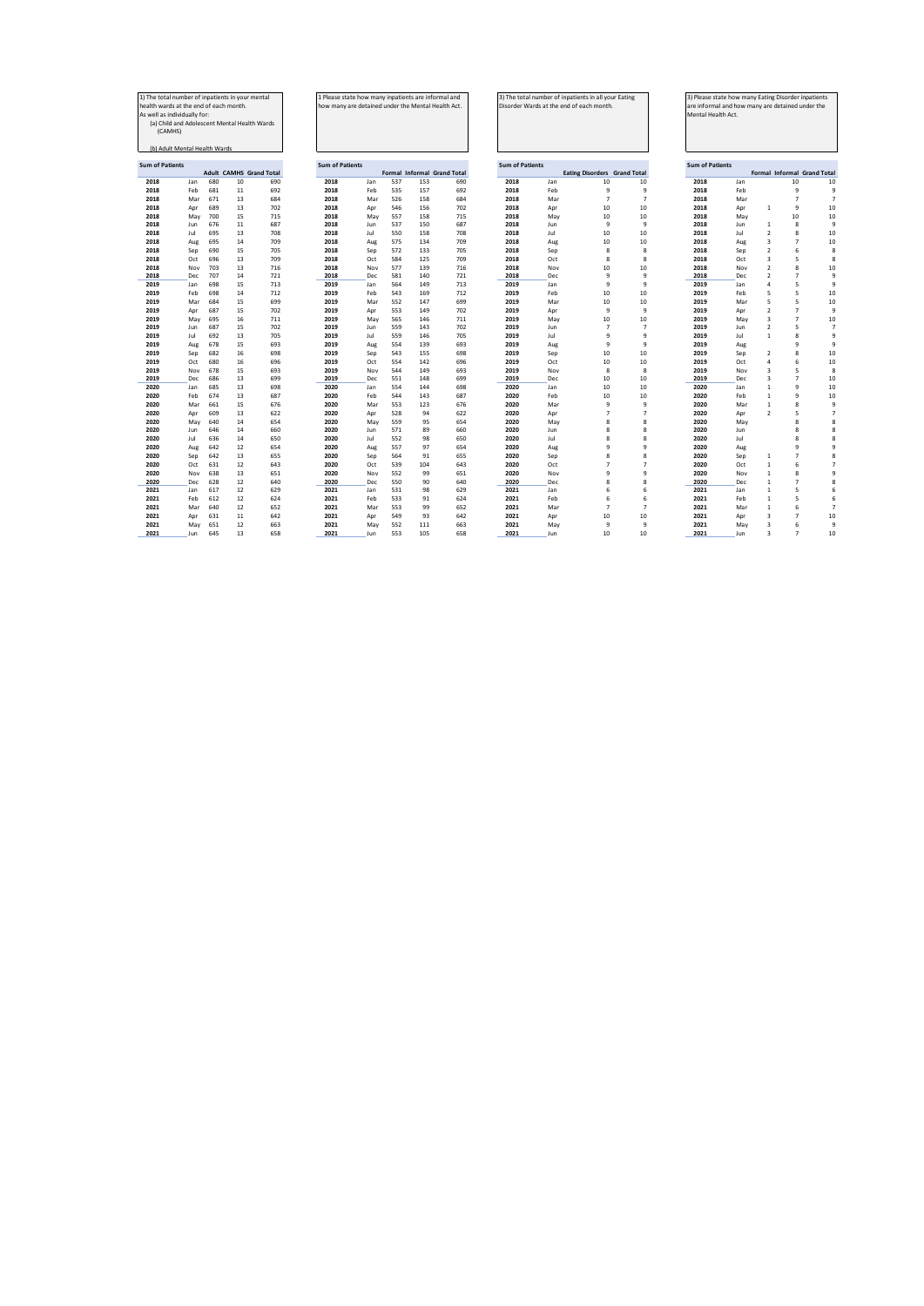| 1) The total number of inpatients in your mental |     |     |    |                                |  |  |
|--------------------------------------------------|-----|-----|----|--------------------------------|--|--|
| health wards at the end of each month.           |     |     |    |                                |  |  |
| As well as individually for:                     |     |     |    |                                |  |  |
| (a) Child and Adolescent Mental Health Wards     |     |     |    |                                |  |  |
| (CAMHS)                                          |     |     |    |                                |  |  |
|                                                  |     |     |    |                                |  |  |
| (b) Adult Mental Health Wards                    |     |     |    |                                |  |  |
|                                                  |     |     |    |                                |  |  |
| <b>Sum of Patients</b>                           |     |     |    |                                |  |  |
|                                                  |     |     |    | <b>Adult CAMHS Grand Total</b> |  |  |
| 2018                                             | Jan | 680 | 10 | 690                            |  |  |
| 2018                                             | Feh | 681 | 11 | 692                            |  |  |
| 2018                                             | Mar | 671 | 13 | 684                            |  |  |
| 2018                                             | Apr | 689 | 13 | 702                            |  |  |
| 2018                                             | May | 700 | 15 | 715                            |  |  |
| 2018                                             | Jun | 676 | 11 | 687                            |  |  |
| 2018                                             | Jul | 695 | 13 | 708                            |  |  |
| 2018                                             | Aug | 695 | 14 | 709                            |  |  |
| 2018                                             | Sep | 690 | 15 | 705                            |  |  |
| 2018                                             | Oct | 696 | 13 | 709                            |  |  |
| 2018                                             | Nov | 703 | 13 | 716                            |  |  |
| 2018                                             | Dec | 707 | 14 | 721                            |  |  |
| 2019                                             | lan | 698 | 15 | 713                            |  |  |
| 2019                                             | Feb | 698 | 14 | 712                            |  |  |
| 2019                                             | Mar | 684 | 15 | 699                            |  |  |
| 2019                                             | Apr | 687 | 15 | 702                            |  |  |
| 2019                                             | May | 695 | 16 | 711                            |  |  |
| 2019                                             | Jun | 687 | 15 | 702                            |  |  |
| 2019                                             | Jul | 692 | 13 | 705                            |  |  |
| 2019                                             | Aug | 678 | 15 | 693                            |  |  |
| 2019                                             | Sep | 682 | 16 | 698                            |  |  |
| 2019                                             | Oct | 680 | 16 | 696                            |  |  |
| 2019                                             | Nov | 678 | 15 | 693                            |  |  |
| 2019                                             | Dec | 686 | 13 | 699                            |  |  |
| 2020                                             | Jan | 685 | 13 | 698                            |  |  |
| 2020                                             | Feb | 674 | 13 | 687                            |  |  |
| 2020                                             | Mar | 661 | 15 | 676                            |  |  |
| 2020                                             | Apr | 609 | 13 | 622                            |  |  |
| 2020                                             | May | 640 | 14 | 654                            |  |  |
| 2020                                             | Jun | 646 | 14 | 660                            |  |  |
| 2020                                             | Jul | 636 | 14 | 650                            |  |  |
| 2020                                             | Aug | 642 | 12 | 654                            |  |  |
| 2020                                             | Sep | 642 | 13 | 655                            |  |  |
| 2020                                             | Oct | 631 | 12 | 643                            |  |  |
| 2020                                             | Nov | 638 | 13 | 651                            |  |  |
| 2020                                             | Dec | 628 | 12 | 640                            |  |  |
| 2021                                             | Jan | 617 | 12 | 629                            |  |  |
| 2021                                             | Feh | 612 | 12 | 624                            |  |  |
| 2021                                             | Mar | 640 | 12 | 652                            |  |  |
|                                                  |     |     |    |                                |  |  |

| 1) The total number of inpatients in your mental<br>health wards at the end of each month.<br>As well as individually for:<br>(CAMHS) | (a) Child and Adolescent Mental Health Wards<br>(b) Adult Mental Health Wards |            |                                |            | 1 Please state how many inpatients are informal and<br>how many are detained under the Mental Health Act. |            |            |            |                                    |                        | Disorder Wards at the end of each month. | 3) The total number of inpatients in all your Eating |                     | 3) Please state how many Eating Disorder inpatients<br>Mental Health Act | are informal and how many are detained under the |                                  |                                    |    |
|---------------------------------------------------------------------------------------------------------------------------------------|-------------------------------------------------------------------------------|------------|--------------------------------|------------|-----------------------------------------------------------------------------------------------------------|------------|------------|------------|------------------------------------|------------------------|------------------------------------------|------------------------------------------------------|---------------------|--------------------------------------------------------------------------|--------------------------------------------------|----------------------------------|------------------------------------|----|
| <b>Sum of Patients</b>                                                                                                                |                                                                               |            |                                |            | <b>Sum of Patients</b>                                                                                    |            |            |            |                                    | <b>Sum of Patients</b> |                                          |                                                      |                     | <b>Sum of Patients</b>                                                   |                                                  |                                  |                                    |    |
|                                                                                                                                       |                                                                               |            | <b>Adult CAMHS Grand Total</b> |            |                                                                                                           |            |            |            | <b>Formal Informal Grand Total</b> |                        |                                          | <b>Eating Disorders</b> Grand Total                  |                     |                                                                          |                                                  |                                  | <b>Formal Informal Grand Total</b> |    |
| 2018                                                                                                                                  | Jan                                                                           | 680        | 10                             | 690        | 2018                                                                                                      | Jan        | 537        | 153        | 690                                | 2018                   | Jan                                      | 10                                                   | 10                  | 2018                                                                     | Jan                                              |                                  | 10                                 | 10 |
| 2018                                                                                                                                  | Feb                                                                           | 681        | 11                             | 692        | 2018                                                                                                      | Feb        | 535        | 157        | 692                                | 2018                   | Feb                                      | 9                                                    | 9                   | 2018                                                                     | Feb                                              |                                  | 9                                  |    |
| 2018                                                                                                                                  | Mar                                                                           | 671        | 13                             | 684        | 2018                                                                                                      | Mar        | 526        | 158        | 684                                | 2018                   | Mar                                      | $\overline{7}$                                       | $\overline{7}$      | 2018                                                                     | Mar                                              |                                  | $\overline{7}$                     |    |
| 2018                                                                                                                                  | Apr                                                                           | 689        | 13                             | 702        | 2018                                                                                                      | Apr        | 546        | 156        | 702                                | 2018                   | Apr                                      | 10                                                   | 10                  | 2018                                                                     | Apr                                              | $\overline{1}$                   | 9                                  | 10 |
| 2018                                                                                                                                  | May                                                                           | 700        | 15                             | 715        | 2018                                                                                                      | May        | 557        | 158        | 715                                | 2018                   | May                                      | 10                                                   | 10                  | 2018                                                                     | May                                              |                                  | 10                                 | 10 |
| 2018                                                                                                                                  | Jun                                                                           | 676        | 11                             | 687        | 2018                                                                                                      | Jun        | 537        | 150        | 687                                | 2018                   | Jun                                      | 9                                                    | 9                   | 2018                                                                     | Jun                                              | $\mathbf{1}$                     | 8                                  | ¢  |
| 2018                                                                                                                                  | Jul                                                                           | 695        | 13                             | 708        | 2018                                                                                                      | Jul        | 550        | 158        | 708                                | 2018                   | Jul                                      | 10                                                   | 10                  | 2018                                                                     | Jul                                              | $\overline{2}$                   | 8                                  | 10 |
| 2018                                                                                                                                  | Aug                                                                           | 695        | 14                             | 709        | 2018                                                                                                      | Aug        | 575        | 134        | 709                                | 2018                   | Aug                                      | 10                                                   | 10                  | 2018                                                                     | Aug                                              | 3                                | $\overline{7}$                     | 10 |
| 2018                                                                                                                                  | Sep                                                                           | 690        | 15                             | 705        | 2018                                                                                                      | Sep        | 572        | 133        | 705                                | 2018                   | Sep                                      | 8                                                    | 8<br>$\mathbf{R}$   | 2018                                                                     | Sep                                              | $\overline{2}$<br>$\overline{3}$ | 6<br>5                             |    |
| 2018<br>2018                                                                                                                          | Oct<br>Nov                                                                    | 696<br>703 | 13<br>13                       | 709<br>716 | 2018<br>2018                                                                                              | Oct<br>Nov | 584<br>577 | 125<br>139 | 709<br>716                         | 2018<br>2018           | Oct<br>Nov                               | 8<br>10                                              | 10                  | 2018<br>2018                                                             | Oct<br>Nov                                       | $\overline{2}$                   | 8                                  | 10 |
| 2018                                                                                                                                  | Dec                                                                           | 707        | 14                             | 721        | 2018                                                                                                      | Dec        | 581        | 140        | 721                                | 2018                   | Dec                                      | 9                                                    | 9                   | 2018                                                                     | Dec                                              | $\overline{2}$                   | $\overline{7}$                     |    |
| 2019                                                                                                                                  | Jan                                                                           | 698        | 15                             | 713        | 2019                                                                                                      | Jan        | 564        | 149        | 713                                | 2019                   | Jan                                      | q                                                    | ٩                   | 2019                                                                     | Jan                                              | $\overline{a}$                   | 5                                  |    |
| 2019                                                                                                                                  | Feb                                                                           | 698        | 14                             | 712        | 2019                                                                                                      | Feb        | 543        | 169        | 712                                | 2019                   | Feb                                      | 10                                                   | 10                  | 2019                                                                     | Feb                                              | 5                                | 5                                  | 10 |
| 2019                                                                                                                                  | Mar                                                                           | 684        | 15                             | 699        | 2019                                                                                                      | Mar        | 552        | 147        | 699                                | 2019                   | Mar                                      | 10                                                   | 10                  | 2019                                                                     | Mar                                              | 5                                | 5                                  | 10 |
| 2019                                                                                                                                  | Apr                                                                           | 687        | 15                             | 702        | 2019                                                                                                      | Apr        | 553        | 149        | 702                                | 2019                   | Apr                                      | q                                                    | ٩                   | 2019                                                                     | Apr                                              | $\overline{2}$                   | $\overline{7}$                     |    |
| 2019                                                                                                                                  | May                                                                           | 695        | 16                             | 711        | 2019                                                                                                      | May        | 565        | 146        | 711                                | 2019                   | May                                      | 10                                                   | 10                  | 2019                                                                     | May                                              | $\overline{3}$                   | $\overline{7}$                     | 10 |
| 2019                                                                                                                                  | Jun                                                                           | 687        | 15                             | 702        | 2019                                                                                                      | Jun        | 559        | 143        | 702                                | 2019                   | Jun                                      | $\overline{7}$                                       | $\overline{7}$      | 2019                                                                     | Jun                                              | $\overline{2}$                   | 5                                  |    |
| 2019                                                                                                                                  | Jul                                                                           | 692        | 13                             | 705        | 2019                                                                                                      | Jul        | 559        | 146        | 705                                | 2019                   | Jul                                      | 9                                                    | 9                   | 2019                                                                     | Jul                                              | $\mathbf{1}$                     | 8                                  |    |
| 2019                                                                                                                                  | Aug                                                                           | 678        | 15                             | 693        | 2019                                                                                                      | Aug        | 554        | 139        | 693                                | 2019                   | Aug                                      | 9                                                    | 9                   | 2019                                                                     | Aug                                              |                                  | 9                                  |    |
| 2019                                                                                                                                  | Sep                                                                           | 682        | 16                             | 698        | 2019                                                                                                      | Sep        | 543        | 155        | 698                                | 2019                   | Sep                                      | 10                                                   | 10                  | 2019                                                                     | Sep                                              | $\overline{2}$                   | 8                                  | 10 |
| 2019                                                                                                                                  | Oct                                                                           | 680        | 16                             | 696        | 2019                                                                                                      | Oct        | 554        | 142        | 696                                | 2019                   | Oct                                      | 10                                                   | 10                  | 2019                                                                     | Oct                                              | $\overline{4}$                   | 6                                  | 10 |
| 2019                                                                                                                                  | Nov                                                                           | 678        | 15                             | 693        | 2019                                                                                                      | Nov        | 544        | 149        | 693                                | 2019                   | Nov                                      | 8                                                    | 8                   | 2019                                                                     | Nov                                              | $\overline{3}$                   | 5                                  |    |
| 2019                                                                                                                                  | Dec                                                                           | 686        | 13                             | 699        | 2019                                                                                                      | Dec        | 551        | 148        | 699                                | 2019                   | Dec                                      | 10                                                   | 10                  | 2019                                                                     | Dec                                              | $\overline{3}$                   | $\overline{7}$                     | 10 |
| 2020                                                                                                                                  | Jan                                                                           | 685        | 13                             | 698        | 2020                                                                                                      | Jan        | 554        | 144        | 698                                | 2020                   | Jan                                      | 10                                                   | 10                  | 2020                                                                     | Jan                                              | $\mathbf{1}$                     | 9                                  | 10 |
| 2020                                                                                                                                  | Feb                                                                           | 674        | 13                             | 687        | 2020                                                                                                      | Feb        | 544        | 143        | 687                                | 2020                   | Feb                                      | 10                                                   | 10                  | 2020                                                                     | Feb                                              | 1                                | 9                                  | 10 |
| 2020                                                                                                                                  | Mar                                                                           | 661        | 15                             | 676        | 2020                                                                                                      | Mar        | 553        | 123        | 676                                | 2020                   | Mar                                      | 9                                                    | 9                   | 2020                                                                     | Mar                                              | $\,1\,$                          | 8                                  |    |
| 2020                                                                                                                                  | Apr                                                                           | 609        | 13                             | 622        | 2020                                                                                                      | Apr        | 528        | 94         | 622                                | 2020                   | Apr                                      | $\overline{7}$                                       | $\overline{7}$      | 2020                                                                     | Apr                                              | $\overline{2}$                   | 5                                  |    |
| 2020                                                                                                                                  | May                                                                           | 640        | 14                             | 654        | 2020                                                                                                      | May        | 559        | 95         | 654                                | 2020                   | May                                      | 8                                                    | 8                   | 2020                                                                     | May                                              |                                  | 8                                  |    |
| 2020                                                                                                                                  | Jun                                                                           | 646        | 14                             | 660        | 2020                                                                                                      | Jun        | 571        | 89         | 660                                | 2020                   | Jun                                      | $\mathbf{R}$                                         | 8                   | 2020                                                                     | Jun                                              |                                  | 8                                  |    |
| 2020                                                                                                                                  | Jul                                                                           | 636        | 14                             | 650        | 2020                                                                                                      | Jul        | 552        | 98         | 650                                | 2020                   | Jul                                      | 8                                                    | $\mathbf{R}$        | 2020                                                                     | Jul                                              |                                  | $\mathbf{R}$                       |    |
| 2020                                                                                                                                  | Aug                                                                           | 642        | 12                             | 654        | 2020                                                                                                      | Aug        | 557        | 97         | 654                                | 2020                   | Aug                                      | 9<br>$\mathbf{8}$                                    | 9                   | 2020                                                                     | Aug                                              |                                  | 9                                  |    |
| 2020                                                                                                                                  | Sep                                                                           | 642        | 13                             | 655        | 2020                                                                                                      | Sep        | 564        | 91         | 655                                | 2020                   | Sep                                      | $\overline{z}$                                       | 8<br>$\overline{7}$ | 2020                                                                     | Sep                                              | $\mathbf{1}$                     | $\overline{7}$                     |    |
| 2020<br>2020                                                                                                                          | Oct                                                                           | 631<br>638 | 12<br>13                       | 643<br>651 | 2020<br>2020                                                                                              | Oct        | 539<br>552 | 104<br>99  | 643<br>651                         | 2020<br>2020           | Oct                                      | 9                                                    | 9                   | 2020<br>2020                                                             | Oct                                              | $\mathbf{1}$                     | 6<br>8                             |    |
|                                                                                                                                       | Nov                                                                           |            |                                |            |                                                                                                           | Nov        | 550        |            |                                    |                        | Nov                                      |                                                      |                     |                                                                          | Nov                                              | $\,$ 1                           | $\overline{7}$                     |    |
| 2020<br>2021                                                                                                                          | Dec<br>Jan                                                                    | 628<br>617 | 12<br>12                       | 640<br>629 | 2020<br>2021                                                                                              | Dec<br>Jan | 531        | 90<br>98   | 640<br>629                         | 2020<br>2021           | Dec<br>Jan                               | 8<br>6                                               | 8<br>6              | 2020<br>2021                                                             | Dec<br>Jan                                       | $\,1\,$<br>$\mathbf{1}$          | 5                                  |    |
| 2021                                                                                                                                  | Feb                                                                           | 612        | 12                             | 624        | 2021                                                                                                      | Feb        | 533        | 91         | 624                                | 2021                   | Feb                                      | 6                                                    | 6                   | 2021                                                                     | Feb                                              | $\mathbf{1}$                     | 5                                  |    |
| 2021                                                                                                                                  | Mar                                                                           | 640        | 12                             | 652        | 2021                                                                                                      | Mar        | 553        | 99         | 652                                | 2021                   | Mar                                      | $\overline{7}$                                       | $\overline{7}$      | 2021                                                                     | Mar                                              | $\mathbf 1$                      | 6                                  |    |
| 2021                                                                                                                                  | Apr                                                                           | 631        | 11                             | 642        | 2021                                                                                                      | Apr        | 549        | 93         | 642                                | 2021                   | Apr                                      | 10                                                   | 10                  | 2021                                                                     | Apr                                              | $\overline{3}$                   | $\overline{7}$                     | 10 |
| 2021                                                                                                                                  | May                                                                           | 651        | 12                             | 663        | 2021                                                                                                      | May        | 552        | 111        | 663                                | 2021                   | May                                      | q                                                    | 9                   | 2021                                                                     | May                                              | 3                                | 6                                  |    |
| 2021                                                                                                                                  | Jun                                                                           | 645        | 13                             | 658        | 2021                                                                                                      | Jun        | 553        | 105        | 658                                | 2021                   | Jun                                      | 10                                                   | 10 <sup>10</sup>    | 2021                                                                     | Jun                                              | ٩                                | $\overline{7}$                     | 10 |
|                                                                                                                                       |                                                                               |            |                                |            |                                                                                                           |            |            |            |                                    |                        |                                          |                                                      |                     |                                                                          |                                                  |                                  |                                    |    |

|                        |            | 3) The total number of inpatients in all your Eating<br>Disorder Wards at the end of each month. |                |
|------------------------|------------|--------------------------------------------------------------------------------------------------|----------------|
|                        |            |                                                                                                  |                |
|                        |            |                                                                                                  |                |
|                        |            |                                                                                                  |                |
|                        |            |                                                                                                  |                |
|                        |            |                                                                                                  |                |
|                        |            |                                                                                                  |                |
| <b>Sum of Patients</b> |            | <b>Eating Disorders</b> Grand Total                                                              |                |
| 2018                   | Jan        | 10                                                                                               | 10             |
| 2018                   | Feb        | 9                                                                                                | 9              |
| 2018                   | Mar        | $\overline{7}$                                                                                   | 7              |
| 2018                   | Apr        | 10                                                                                               | 10             |
| 2018                   | May        | 10                                                                                               | 10             |
| 2018                   | Jun        | q                                                                                                | 9              |
| 2018                   | Jul        | 10                                                                                               | 10             |
| 2018                   | Aug        | 10                                                                                               | 10             |
| 2018                   | Sep        | $\mathbf{8}$                                                                                     | $\mathbf{R}$   |
| 2018                   | Oct        | $\mathbf{8}$                                                                                     | 8              |
| 2018                   | Nov        | 10                                                                                               | 10             |
| 2018                   | Dec        | 9                                                                                                | 9              |
| 2019                   | Jan        | q                                                                                                | q              |
| 2019                   | Feb        | 10                                                                                               | 10             |
| 2019                   | Mar        | 10                                                                                               | 10             |
| 2019                   | Apr        | q                                                                                                | 9              |
| 2019                   | May        | 10                                                                                               | 10             |
| 2019                   | Jun        | $\overline{7}$                                                                                   | $\overline{7}$ |
| 2019                   | Jul        | q                                                                                                | q              |
| 2019                   | Aug        | 9                                                                                                | 9              |
| 2019                   | Sep        | 10                                                                                               | 10             |
| 2019                   | Oct        | 10                                                                                               | 10             |
| 2019                   | Nov        | $\mathbf{8}$                                                                                     | 8              |
| 2019                   | Dec        | 10                                                                                               | 10             |
| 2020                   | Jan        | 10                                                                                               | 10             |
| 2020                   | Feb        | 10                                                                                               | 10             |
| 2020                   | Mar        | q                                                                                                | q              |
| 2020<br>2020           | Apr        | 7<br>8                                                                                           | 7<br>8         |
| 2020                   | May<br>Jun | 8                                                                                                | 8              |
| 2020                   | Jul        | 8                                                                                                | 8              |
| 2020                   | Aug        | q                                                                                                | q              |
| 2020                   | Sep        | $\mathbf{8}$                                                                                     | 8              |
| 2020                   | Oct        | $\overline{7}$                                                                                   | 7              |
| 2020                   | Nov        | q                                                                                                | q              |
| 2020                   | Dec        | 8                                                                                                | 8              |
| 2021                   | Jan        | 6                                                                                                | 6              |
| 2021                   | Feb        | 6                                                                                                | 6              |
| 2021                   | Mar        | $\overline{7}$                                                                                   | $\overline{7}$ |
| 2021                   | Apr        | 10                                                                                               | 10             |
|                        |            |                                                                                                  |                |

|                        | Mental Health Act. |                |                |                            |
|------------------------|--------------------|----------------|----------------|----------------------------|
|                        |                    |                |                |                            |
| <b>Sum of Patients</b> |                    |                |                | Formal Informal Grand Tota |
| 2018                   | Jan                |                | 10             | 10                         |
| 2018                   | Feb                |                | 9              | ś                          |
| 2018                   | Mar                |                | $\overline{7}$ | ī                          |
| 2018                   | Apr                | $\mathbf{1}$   | 9              | 10                         |
| 2018                   | May                |                | 10             | 10                         |
| 2018                   | Jun                | $\mathbf{1}$   | R              | ¢                          |
| 2018                   | Jul                | $\overline{2}$ | 8              | 10                         |
| 2018                   | Aug                | 3              | $\overline{7}$ | 10                         |
| 2018                   | Sep                | $\overline{2}$ | 6              | ٤                          |
| 2018                   | Oct                | 3              | 5              | ٤                          |
| 2018                   | Nov                | $\overline{2}$ | 8              | 10                         |
| 2018                   | Dec                | $\overline{2}$ | $\overline{7}$ | ś                          |
| 2019                   | Jan                | 4              | 5              | ś                          |
| 2019                   | Feb                | 5              | 5              | 10                         |
| 2019                   | Mar                | 5              | 5              | 10                         |
| 2019                   | Apr                | $\overline{2}$ | $\overline{7}$ | ś                          |
| 2019                   | May                | 3              | $\overline{7}$ | 10                         |
| 2019                   | Jun                | $\overline{2}$ | 5              | ī                          |
| 2019                   | Jul                | $\mathbf{1}$   | 8              | ś                          |
| 2019                   | Aug                |                | 9              |                            |
| 2019                   | Sep                | $\overline{2}$ | $\mathbf{R}$   | 10                         |
| 2019                   | Oct                | 4              | 6              | 10                         |
| 2019                   | Nov                | 3              | 5              |                            |
| 2019                   | Dec                | 3              | $\overline{7}$ | 10                         |
| 2020                   | Jan                | $\mathbf{1}$   | 9              | 10                         |
| 2020                   | Feb                | 1              | 9              | 10                         |
| 2020                   | Mar                | 1              | 8              | Ś                          |
| 2020                   | Apr                | $\overline{2}$ | 5              | ĵ                          |
| 2020                   | May                |                | 8              | ٤                          |
| 2020                   | Jun                |                | 8              | ٤                          |
| 2020                   | Jul                |                | 8              | ٤                          |
| 2020                   | Aug                |                | 9              |                            |
| 2020                   | Sep                | $\mathbf{1}$   | $\overline{7}$ |                            |
| 2020                   | Oct                | $\mathbf{1}$   | 6              |                            |
| 2020                   | Nov                | $\mathbf{1}$   | 8              |                            |
| 2020                   | Dec                | $\mathbf{1}$   | $\overline{7}$ |                            |
| 2021                   | Jan                | $\mathbf{1}$   | 5              |                            |
| 2021                   | Feb                | $\mathbf{1}$   | 5              |                            |
| 2021                   | Mar                | 1              | 6              |                            |
| 2021                   | Apr                | 3              | 7              | 10                         |
| $2021$                 | A                  | ٠              | ċ              | ł                          |